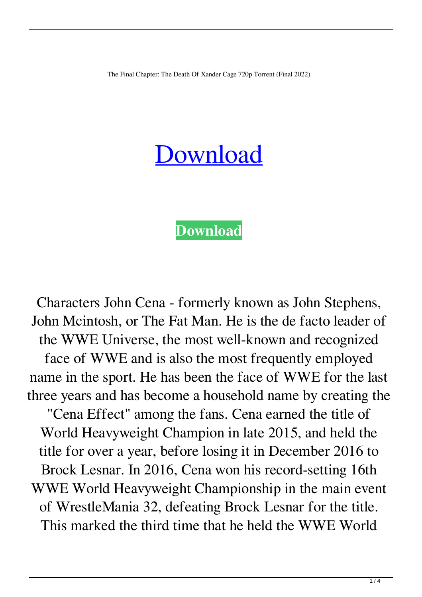The Final Chapter: The Death Of Xander Cage 720p Torrent (Final 2022)

## [Download](http://evacdir.com/appropriated.sumant.hairston/import/tchaikovsky/VGhlIEZpbmFsIENoYXB0ZXI6IFRoZSBEZWF0aCBPZiBYYW5kZXIgQ2FnZSA3MjBwIFRvcnJlbnQVGh/ZG93bmxvYWR8dG0zTW5BeWVYeDhNVFkxTWpRMk16QTFNSHg4TWpVM05IeDhLRTBwSUhKbFlXUXRZbXh2WnlCYlJtRnpkQ0JIUlU1ZA/krista)

## **[Download](http://evacdir.com/appropriated.sumant.hairston/import/tchaikovsky/VGhlIEZpbmFsIENoYXB0ZXI6IFRoZSBEZWF0aCBPZiBYYW5kZXIgQ2FnZSA3MjBwIFRvcnJlbnQVGh/ZG93bmxvYWR8dG0zTW5BeWVYeDhNVFkxTWpRMk16QTFNSHg4TWpVM05IeDhLRTBwSUhKbFlXUXRZbXh2WnlCYlJtRnpkQ0JIUlU1ZA/krista)**

Characters John Cena - formerly known as John Stephens, John Mcintosh, or The Fat Man. He is the de facto leader of the WWE Universe, the most well-known and recognized face of WWE and is also the most frequently employed name in the sport. He has been the face of WWE for the last three years and has become a household name by creating the "Cena Effect" among the fans. Cena earned the title of World Heavyweight Champion in late 2015, and held the title for over a year, before losing it in December 2016 to Brock Lesnar. In 2016, Cena won his record-setting 16th WWE World Heavyweight Championship in the main event of WrestleMania 32, defeating Brock Lesnar for the title. This marked the third time that he held the WWE World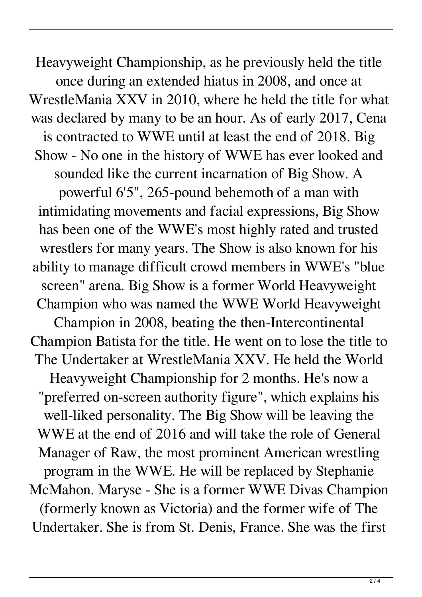Heavyweight Championship, as he previously held the title once during an extended hiatus in 2008, and once at WrestleMania XXV in 2010, where he held the title for what was declared by many to be an hour. As of early 2017, Cena is contracted to WWE until at least the end of 2018. Big Show - No one in the history of WWE has ever looked and sounded like the current incarnation of Big Show. A powerful 6'5", 265-pound behemoth of a man with intimidating movements and facial expressions, Big Show has been one of the WWE's most highly rated and trusted wrestlers for many years. The Show is also known for his ability to manage difficult crowd members in WWE's "blue screen" arena. Big Show is a former World Heavyweight Champion who was named the WWE World Heavyweight Champion in 2008, beating the then-Intercontinental Champion Batista for the title. He went on to lose the title to The Undertaker at WrestleMania XXV. He held the World Heavyweight Championship for 2 months. He's now a "preferred on-screen authority figure", which explains his well-liked personality. The Big Show will be leaving the WWE at the end of 2016 and will take the role of General Manager of Raw, the most prominent American wrestling program in the WWE. He will be replaced by Stephanie McMahon. Maryse - She is a former WWE Divas Champion (formerly known as Victoria) and the former wife of The Undertaker. She is from St. Denis, France. She was the first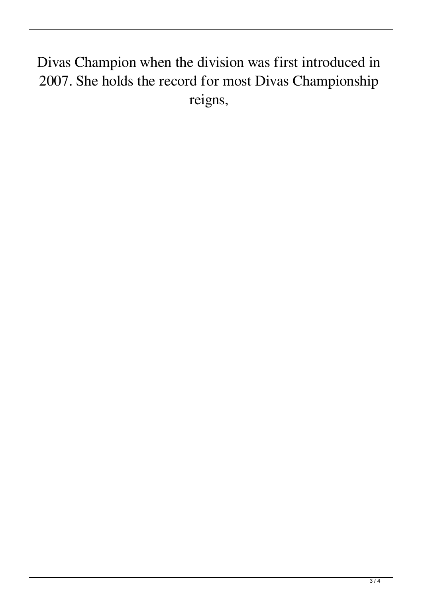## Divas Champion when the division was first introduced in 2007. She holds the record for most Divas Championship reigns,